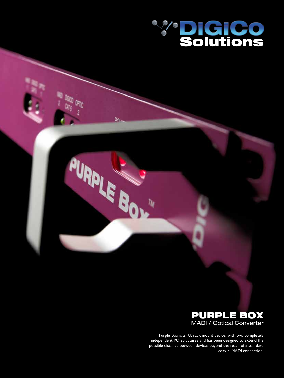

One

P<sub>OL</sub>

PURPLE BOY



Purple Box is a 1U, rack mount device, with two completely independent I/O structures and has been designed to extend the possible distance between devices beyond the reach of a standard coaxial MADI connection.